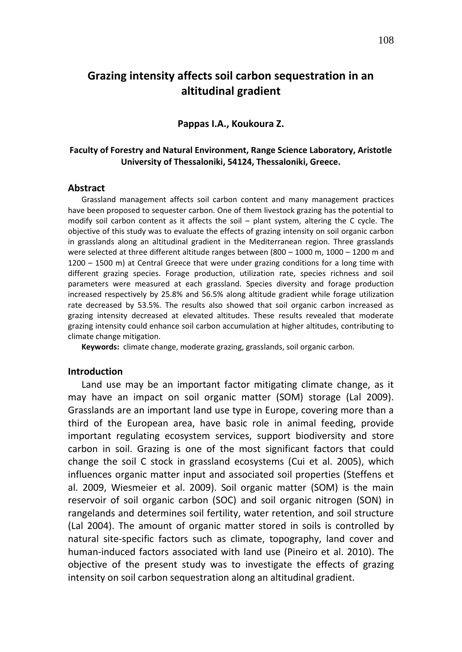# **Grazing intensity affects soil carbon sequestration in an altitudinal gradient**

### **Pappas I.A., Koukoura Z.**

# **Faculty of Forestry and Natural Environment, Range Science Laboratory, Aristotle University of Thessaloniki, 54124, Thessaloniki, Greece.**

#### **Abstract**

Grassland management affects soil carbon content and many management practices have been proposed to sequester carbon. One of them livestock grazing has the potential to modify soil carbon content as it affects the soil – plant system, altering the C cycle. The objective of this study was to evaluate the effects of grazing intensity on soil organic carbon in grasslands along an altitudinal gradient in the Mediterranean region. Three grasslands were selected at three different altitude ranges between (800 – 1000 m, 1000 – 1200 m and 1200 – 1500 m) at Central Greece that were under grazing conditions for a long time with different grazing species. Forage production, utilization rate, species richness and soil parameters were measured at each grassland. Species diversity and forage production increased respectively by 25.8% and 56.5% along altitude gradient while forage utilization rate decreased by 53.5%. The results also showed that soil organic carbon increased as grazing intensity decreased at elevated altitudes. These results revealed that moderate grazing intensity could enhance soil carbon accumulation at higher altitudes, contributing to climate change mitigation.

**Keywords:** climate change, moderate grazing, grasslands, soil organic carbon*.*

## **Introduction**

Land use may be an important factor mitigating climate change, as it may have an impact on soil organic matter (SOM) storage (Lal 2009). Grasslands are an important land use type in Europe, covering more than a third of the European area, have basic role in animal feeding, provide important regulating ecosystem services, support biodiversity and store carbon in soil. Grazing is one of the most significant factors that could change the soil C stock in grassland ecosystems (Cui et al. 2005), which influences organic matter input and associated soil properties (Steffens et al. 2009, Wiesmeier et al. 2009). Soil organic matter (SOM) is the main reservoir of soil organic carbon (SOC) and soil organic nitrogen (SON) in rangelands and determines soil fertility, water retention, and soil structure (Lal 2004). The amount of organic matter stored in soils is controlled by natural site-specific factors such as climate, topography, land cover and human-induced factors associated with land use (Pineiro et al. 2010). The objective of the present study was to investigate the effects of grazing intensity on soil carbon sequestration along an altitudinal gradient.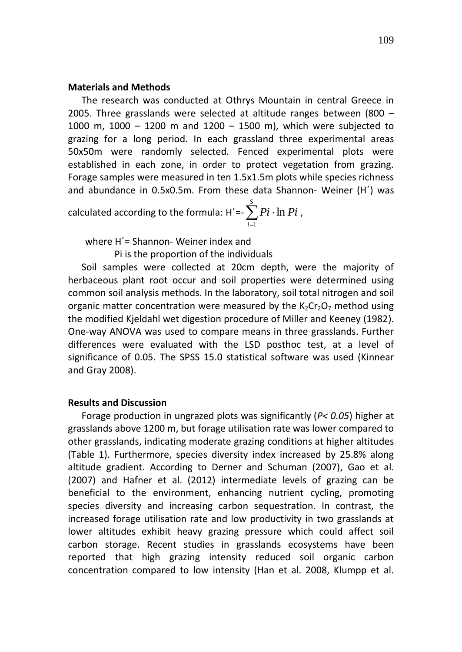## **Materials and Methods**

The research was conducted at Othrys Mountain in central Greece in 2005. Three grasslands were selected at altitude ranges between (800 – 1000 m, 1000 – 1200 m and 1200 – 1500 m), which were subjected to grazing for a long period. In each grassland three experimental areas 50x50m were randomly selected. Fenced experimental plots were established in each zone, in order to protect vegetation from grazing. Forage samples were measured in ten 1.5x1.5m plots while species richness and abundance in 0.5x0.5m. From these data Shannon- Weiner (H΄) was

calculated according to the formula: H'=- $\sum\limits_{i=1}^S P i$  · *i Pi Pi* 1  $ln Pi$ ,

where H΄= Shannon- Weiner index and

Pi is the proportion of the individuals

Soil samples were collected at 20cm depth, were the majority of herbaceous plant root occur and soil properties were determined using common soil analysis methods. In the laboratory, soil total nitrogen and soil organic matter concentration were measured by the  $K<sub>2</sub>Cr<sub>2</sub>O<sub>7</sub>$  method using the modified Kjeldahl wet digestion procedure of Miller and Keeney (1982). One-way ANOVA was used to compare means in three grasslands. Further differences were evaluated with the LSD posthoc test, at a level of significance of 0.05. The SPSS 15.0 statistical software was used (Kinnear and Gray 2008).

## **Results and Discussion**

Forage production in ungrazed plots was significantly (*P< 0.05*) higher at grasslands above 1200 m, but forage utilisation rate was lower compared to other grasslands, indicating moderate grazing conditions at higher altitudes (Table 1). Furthermore, species diversity index increased by 25.8% along altitude gradient. According to Derner and Schuman (2007), Gao et al. (2007) and Hafner et al. (2012) intermediate levels of grazing can be beneficial to the environment, enhancing nutrient cycling, promoting species diversity and increasing carbon sequestration. In contrast, the increased forage utilisation rate and low productivity in two grasslands at lower altitudes exhibit heavy grazing pressure which could affect soil carbon storage. Recent studies in grasslands ecosystems have been reported that high grazing intensity reduced soil organic carbon concentration compared to low intensity (Han et al. 2008, Klumpp et al.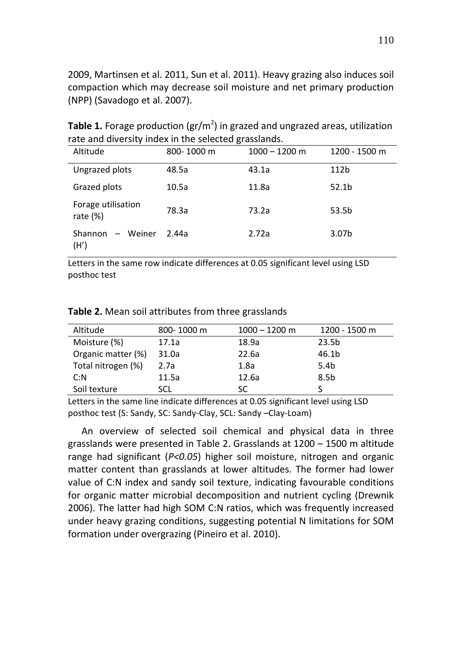2009, Martinsen et al. 2011, Sun et al. 2011). Heavy grazing also induces soil compaction which may decrease soil moisture and net primary production (NPP) (Savadogo et al. 2007).

| Tale and diversity muex in the selected grassianus. |            |                 |               |  |  |
|-----------------------------------------------------|------------|-----------------|---------------|--|--|
| Altitude                                            | 800-1000 m | $1000 - 1200$ m | 1200 - 1500 m |  |  |
| Ungrazed plots                                      | 48.5a      | 43.1a           | 112b          |  |  |
| Grazed plots                                        | 10.5a      | 11.8a           | 52.1b         |  |  |
| Forage utilisation<br>rate $(\%)$                   | 78.3a      | 73.2a           | 53.5b         |  |  |
| – Weiner<br>Shannon<br>(H′)                         | 2.44a      | 2.72a           | 3.07b         |  |  |

**Table 1.** Forage production (gr/m<sup>2</sup>) in grazed and ungrazed areas, utilization rate and diversity index in the selected grasslands.

Letters in the same row indicate differences at 0.05 significant level using LSD posthoc test

| Altitude           | 800-1000 m | $1000 - 1200$ m | 1200 - 1500 m     |
|--------------------|------------|-----------------|-------------------|
| Moisture (%)       | 17.1a      | 18.9a           | 23.5 <sub>b</sub> |
| Organic matter (%) | 31.0a      | 22.6a           | 46.1b             |
| Total nitrogen (%) | 2.7a       | 1.8a            | 5.4 <sub>b</sub>  |
| C: N               | 11.5a      | 12.6a           | 8.5 <sub>b</sub>  |
| Soil texture       | SCL        | SC              |                   |

**Table 2.** Mean soil attributes from three grasslands

Letters in the same line indicate differences at 0.05 significant level using LSD posthoc test (S: Sandy, SC: Sandy-Clay, SCL: Sandy –Clay-Loam)

An overview of selected soil chemical and physical data in three grasslands were presented in Table 2. Grasslands at 1200 – 1500 m altitude range had significant (*P<0.05*) higher soil moisture, nitrogen and organic matter content than grasslands at lower altitudes. The former had lower value of C:N index and sandy soil texture, indicating favourable conditions for organic matter microbial decomposition and nutrient cycling (Drewnik 2006). The latter had high SOM C:N ratios, which was frequently increased under heavy grazing conditions, suggesting potential N limitations for SOM formation under overgrazing (Pineiro et al. 2010).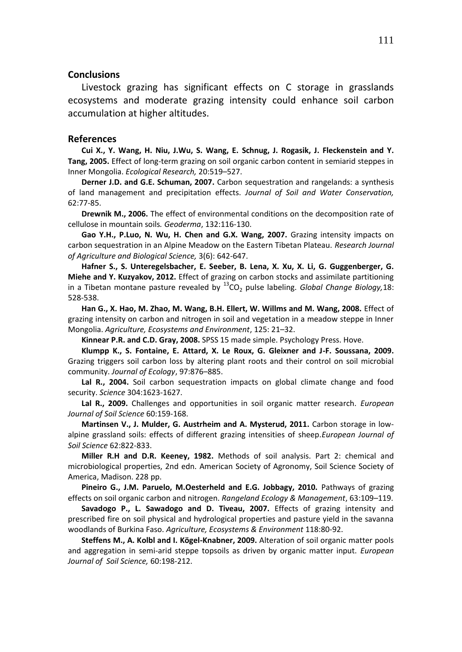#### **Conclusions**

Livestock grazing has significant effects on C storage in grasslands ecosystems and moderate grazing intensity could enhance soil carbon accumulation at higher altitudes.

#### **References**

**Cui X., Y. Wang, H. Niu, J.Wu, S. Wang, E. Schnug, J. Rogasik, J. Fleckenstein and Y. Tang, 2005.** Effect of long-term grazing on soil organic carbon content in semiarid steppes in Inner Mongolia. *Ecological Research,* 20:519–527.

**Derner J.D. and G.E. Schuman, 2007.** Carbon sequestration and rangelands: a synthesis of land management and precipitation effects. *Journal of Soil and Water Conservation,* 62:77-85.

**Drewnik M., 2006.** The effect of environmental conditions on the decomposition rate of cellulose in mountain soils*. Geoderma*, 132:116-130.

**Gao Y.H., P.Luo, N. Wu, H. Chen and G.X. Wang, 2007.** Grazing intensity impacts on carbon sequestration in an Alpine Meadow on the Eastern Tibetan Plateau. *Research Journal of Agriculture and Biological Science,* 3(6): 642-647.

**Hafner S., S. Unteregelsbacher, E. Seeber, B. Lena, X. Xu, X. Li, G. Guggenberger, G. Miehe and Y. Kuzyakov, 2012.** Effect of grazing on carbon stocks and assimilate partitioning in a Tibetan montane pasture revealed by  ${}^{13}CO_2$  pulse labeling. *Global Change Biology*, 18: 528-538.

**Han G., X. Ηao, M. Zhao, M. Wang, B.H. Ellert, W. Willms and M. Wang, 2008.** Effect of grazing intensity on carbon and nitrogen in soil and vegetation in a meadow steppe in Inner Mongolia. *Agriculture, Ecosystems and Environment*, 125: 21–32.

**Kinnear P.R. and C.D. Gray, 2008.** SPSS 15 made simple. Psychology Press. Hove.

**Klumpp K., S. Fontaine, E. Attard, X. Le Roux, G. Gleixner and J-F. Soussana, 2009.** Grazing triggers soil carbon loss by altering plant roots and their control on soil microbial community. *Journal of Ecology*, 97:876–885.

Lal R., 2004. Soil carbon sequestration impacts on global climate change and food security. *Science* 304:1623-1627.

**Lal R., 2009.** Challenges and opportunities in soil organic matter research. *European Journal of Soil Science* 60:159-168.

**Martinsen V., J. Mulder, G. Austrheim and A. Mysterud, 2011.** Carbon storage in lowalpine grassland soils: effects of different grazing intensities of sheep.*European Journal of Soil Science* 62:822-833.

**Miller R.H and D.R. Keeney, 1982.** Methods of soil analysis. Part 2: chemical and microbiological properties, 2nd edn. American Society of Agronomy, Soil Science Society of America, Madison. 228 pp.

**Pineiro G., J.M. Paruelo, M.Oesterheld and E.G. Jobbagy, 2010.** Pathways of grazing effects on soil organic carbon and nitrogen. *Rangeland Ecology & Management*, 63:109–119.

**Savadogo P., L. Sawadogo and D. Tiveau, 2007.** Effects of grazing intensity and prescribed fire on soil physical and hydrological properties and pasture yield in the savanna woodlands of Burkina Faso. *Agriculture, Ecosystems & Environment* 118:80-92.

**Steffens M., A. Kolbl and I. Kögel-Knabner, 2009.** Alteration of soil organic matter pools and aggregation in semi-arid steppe topsoils as driven by organic matter input. *European Journal of Soil Science,* 60:198-212.